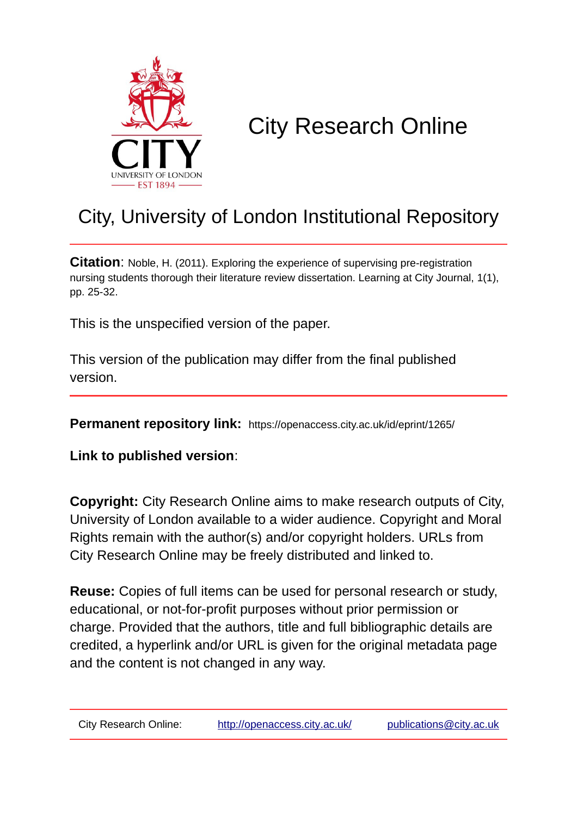

# City Research Online

# City, University of London Institutional Repository

**Citation:** Noble, H. (2011). Exploring the experience of supervising pre-registration nursing students thorough their literature review dissertation. Learning at City Journal, 1(1), pp. 25-32.

This is the unspecified version of the paper.

This version of the publication may differ from the final published version.

**Permanent repository link:** https://openaccess.city.ac.uk/id/eprint/1265/

**Link to published version**:

**Copyright:** City Research Online aims to make research outputs of City, University of London available to a wider audience. Copyright and Moral Rights remain with the author(s) and/or copyright holders. URLs from City Research Online may be freely distributed and linked to.

**Reuse:** Copies of full items can be used for personal research or study, educational, or not-for-profit purposes without prior permission or charge. Provided that the authors, title and full bibliographic details are credited, a hyperlink and/or URL is given for the original metadata page and the content is not changed in any way.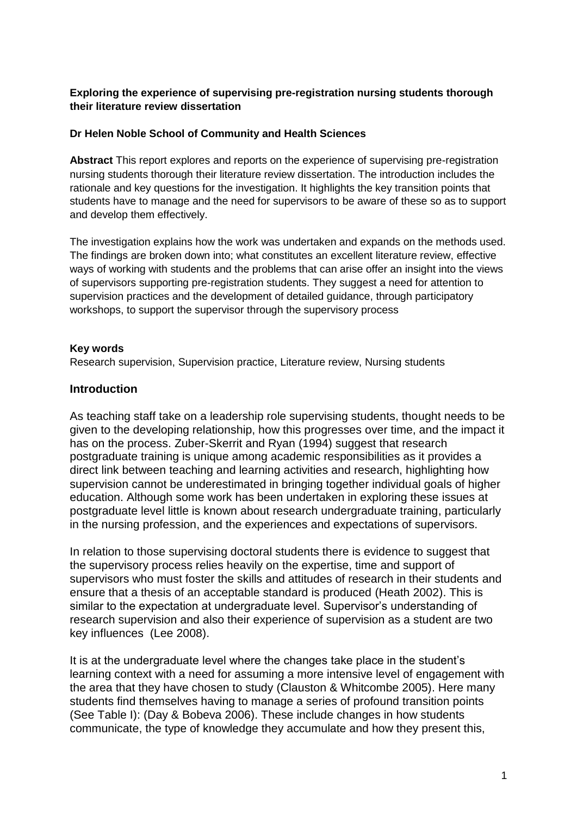#### **Exploring the experience of supervising pre-registration nursing students thorough their literature review dissertation**

#### **Dr Helen Noble School of Community and Health Sciences**

**Abstract** This report explores and reports on the experience of supervising pre-registration nursing students thorough their literature review dissertation. The introduction includes the rationale and key questions for the investigation. It highlights the key transition points that students have to manage and the need for supervisors to be aware of these so as to support and develop them effectively.

The investigation explains how the work was undertaken and expands on the methods used. The findings are broken down into; what constitutes an excellent literature review, effective ways of working with students and the problems that can arise offer an insight into the views of supervisors supporting pre-registration students. They suggest a need for attention to supervision practices and the development of detailed guidance, through participatory workshops, to support the supervisor through the supervisory process

#### **Key words**

Research supervision, Supervision practice, Literature review, Nursing students

#### **Introduction**

As teaching staff take on a leadership role supervising students, thought needs to be given to the developing relationship, how this progresses over time, and the impact it has on the process. Zuber-Skerrit and Ryan (1994) suggest that research postgraduate training is unique among academic responsibilities as it provides a direct link between teaching and learning activities and research, highlighting how supervision cannot be underestimated in bringing together individual goals of higher education. Although some work has been undertaken in exploring these issues at postgraduate level little is known about research undergraduate training, particularly in the nursing profession, and the experiences and expectations of supervisors.

In relation to those supervising doctoral students there is evidence to suggest that the supervisory process relies heavily on the expertise, time and support of supervisors who must foster the skills and attitudes of research in their students and ensure that a thesis of an acceptable standard is produced (Heath 2002). This is similar to the expectation at undergraduate level. Supervisor's understanding of research supervision and also their experience of supervision as a student are two key influences (Lee 2008).

It is at the undergraduate level where the changes take place in the student's learning context with a need for assuming a more intensive level of engagement with the area that they have chosen to study (Clauston & Whitcombe 2005). Here many students find themselves having to manage a series of profound transition points (See Table I): (Day & Bobeva 2006). These include changes in how students communicate, the type of knowledge they accumulate and how they present this,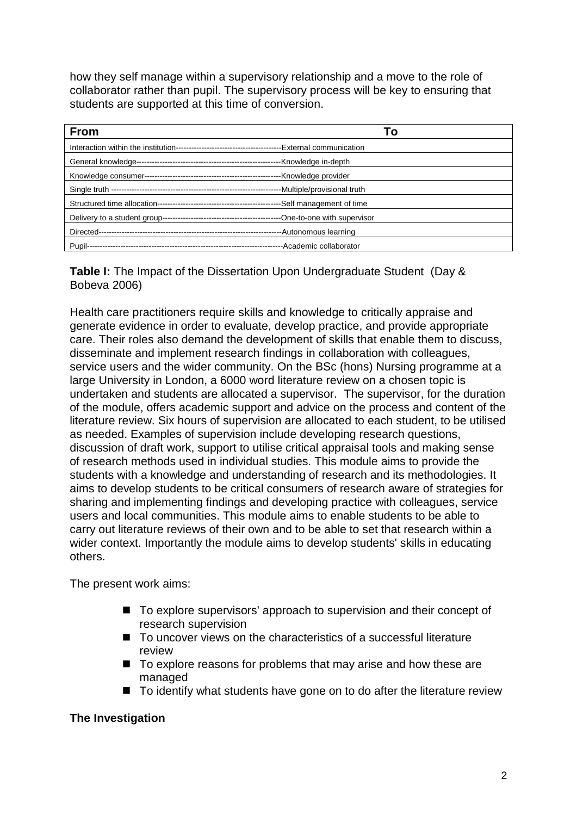how they self manage within a supervisory relationship and a move to the role of collaborator rather than pupil. The supervisory process will be key to ensuring that students are supported at this time of conversion.

| <b>From</b> | 1 O                          |
|-------------|------------------------------|
|             |                              |
|             |                              |
|             |                              |
|             | -Multiple/provisional truth  |
|             | -Self management of time     |
|             | --One-to-one with supervisor |
|             | --Autonomous learning        |
|             |                              |

**Table I:** The Impact of the Dissertation Upon Undergraduate Student (Day & Bobeva 2006)

Health care practitioners require skills and knowledge to critically appraise and generate evidence in order to evaluate, develop practice, and provide appropriate care. Their roles also demand the development of skills that enable them to discuss, disseminate and implement research findings in collaboration with colleagues, service users and the wider community. On the BSc (hons) Nursing programme at a large University in London, a 6000 word literature review on a chosen topic is undertaken and students are allocated a supervisor. The supervisor, for the duration of the module, offers academic support and advice on the process and content of the literature review. Six hours of supervision are allocated to each student, to be utilised as needed. Examples of supervision include developing research questions, discussion of draft work, support to utilise critical appraisal tools and making sense of research methods used in individual studies. This module aims to provide the students with a knowledge and understanding of research and its methodologies. It aims to develop students to be critical consumers of research aware of strategies for sharing and implementing findings and developing practice with colleagues, service users and local communities. This module aims to enable students to be able to carry out literature reviews of their own and to be able to set that research within a wider context. Importantly the module aims to develop students' skills in educating others.

The present work aims:

- To explore supervisors' approach to supervision and their concept of research supervision
- To uncover views on the characteristics of a successful literature review
- To explore reasons for problems that may arise and how these are managed
- To identify what students have gone on to do after the literature review

## **The Investigation**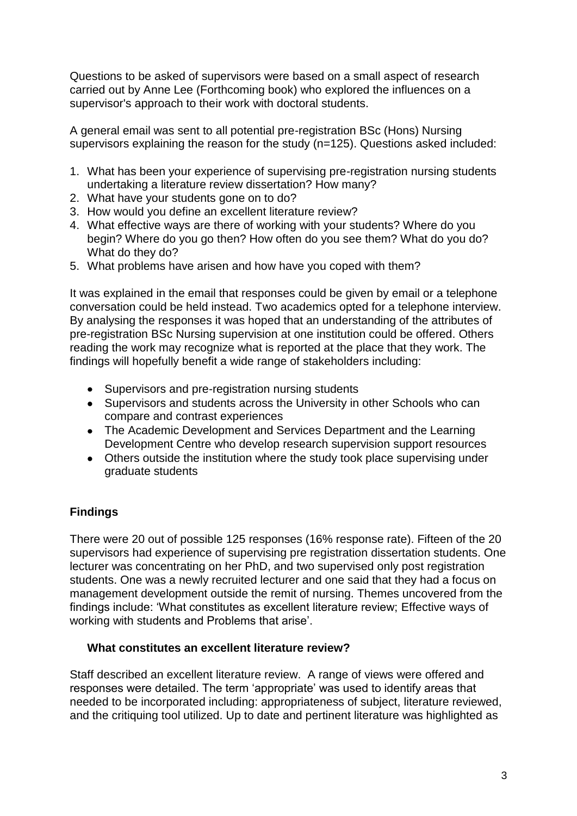Questions to be asked of supervisors were based on a small aspect of research carried out by Anne Lee (Forthcoming book) who explored the influences on a supervisor's approach to their work with doctoral students.

A general email was sent to all potential pre-registration BSc (Hons) Nursing supervisors explaining the reason for the study (n=125). Questions asked included:

- 1. What has been your experience of supervising pre-registration nursing students undertaking a literature review dissertation? How many?
- 2. What have your students gone on to do?
- 3. How would you define an excellent literature review?
- 4. What effective ways are there of working with your students? Where do you begin? Where do you go then? How often do you see them? What do you do? What do they do?
- 5. What problems have arisen and how have you coped with them?

It was explained in the email that responses could be given by email or a telephone conversation could be held instead. Two academics opted for a telephone interview. By analysing the responses it was hoped that an understanding of the attributes of pre-registration BSc Nursing supervision at one institution could be offered. Others reading the work may recognize what is reported at the place that they work. The findings will hopefully benefit a wide range of stakeholders including:

- Supervisors and pre-registration nursing students
- Supervisors and students across the University in other Schools who can compare and contrast experiences
- The Academic Development and Services Department and the Learning Development Centre who develop research supervision support resources
- Others outside the institution where the study took place supervising under graduate students

## **Findings**

There were 20 out of possible 125 responses (16% response rate). Fifteen of the 20 supervisors had experience of supervising pre registration dissertation students. One lecturer was concentrating on her PhD, and two supervised only post registration students. One was a newly recruited lecturer and one said that they had a focus on management development outside the remit of nursing. Themes uncovered from the findings include: 'What constitutes as excellent literature review; Effective ways of working with students and Problems that arise'.

#### **What constitutes an excellent literature review?**

Staff described an excellent literature review. A range of views were offered and responses were detailed. The term 'appropriate' was used to identify areas that needed to be incorporated including: appropriateness of subject, literature reviewed, and the critiquing tool utilized. Up to date and pertinent literature was highlighted as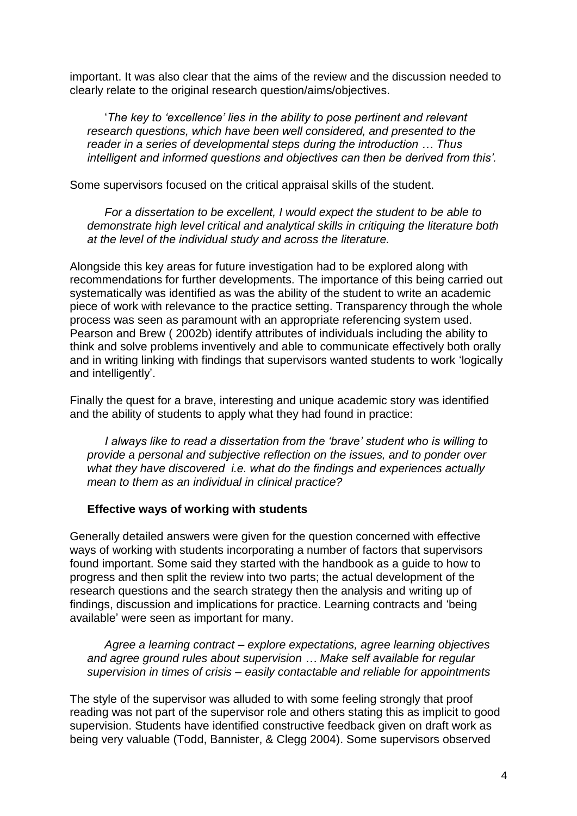important. It was also clear that the aims of the review and the discussion needed to clearly relate to the original research question/aims/objectives.

'*The key to 'excellence' lies in the ability to pose pertinent and relevant research questions, which have been well considered, and presented to the reader in a series of developmental steps during the introduction … Thus intelligent and informed questions and objectives can then be derived from this'.*

Some supervisors focused on the critical appraisal skills of the student.

*For a dissertation to be excellent, I would expect the student to be able to demonstrate high level critical and analytical skills in critiquing the literature both at the level of the individual study and across the literature.*

Alongside this key areas for future investigation had to be explored along with recommendations for further developments. The importance of this being carried out systematically was identified as was the ability of the student to write an academic piece of work with relevance to the practice setting. Transparency through the whole process was seen as paramount with an appropriate referencing system used. Pearson and Brew ( 2002b) identify attributes of individuals including the ability to think and solve problems inventively and able to communicate effectively both orally and in writing linking with findings that supervisors wanted students to work 'logically and intelligently'.

Finally the quest for a brave, interesting and unique academic story was identified and the ability of students to apply what they had found in practice:

*I always like to read a dissertation from the 'brave' student who is willing to provide a personal and subjective reflection on the issues, and to ponder over what they have discovered i.e. what do the findings and experiences actually mean to them as an individual in clinical practice?*

#### **Effective ways of working with students**

Generally detailed answers were given for the question concerned with effective ways of working with students incorporating a number of factors that supervisors found important. Some said they started with the handbook as a guide to how to progress and then split the review into two parts; the actual development of the research questions and the search strategy then the analysis and writing up of findings, discussion and implications for practice. Learning contracts and 'being available' were seen as important for many.

*Agree a learning contract – explore expectations, agree learning objectives and agree ground rules about supervision … Make self available for regular supervision in times of crisis – easily contactable and reliable for appointments*

The style of the supervisor was alluded to with some feeling strongly that proof reading was not part of the supervisor role and others stating this as implicit to good supervision. Students have identified constructive feedback given on draft work as being very valuable (Todd, Bannister, & Clegg 2004). Some supervisors observed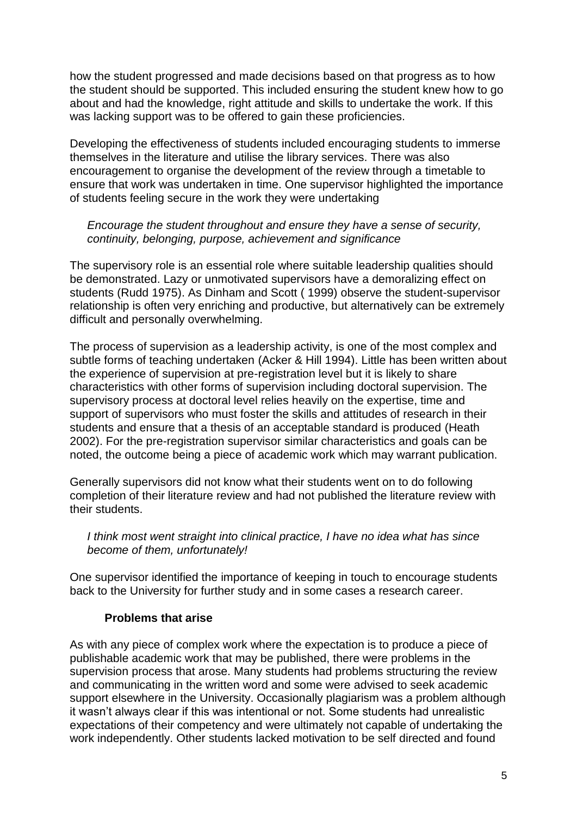how the student progressed and made decisions based on that progress as to how the student should be supported. This included ensuring the student knew how to go about and had the knowledge, right attitude and skills to undertake the work. If this was lacking support was to be offered to gain these proficiencies.

Developing the effectiveness of students included encouraging students to immerse themselves in the literature and utilise the library services. There was also encouragement to organise the development of the review through a timetable to ensure that work was undertaken in time. One supervisor highlighted the importance of students feeling secure in the work they were undertaking

#### *Encourage the student throughout and ensure they have a sense of security, continuity, belonging, purpose, achievement and significance*

The supervisory role is an essential role where suitable leadership qualities should be demonstrated. Lazy or unmotivated supervisors have a demoralizing effect on students (Rudd 1975). As Dinham and Scott ( 1999) observe the student-supervisor relationship is often very enriching and productive, but alternatively can be extremely difficult and personally overwhelming.

The process of supervision as a leadership activity, is one of the most complex and subtle forms of teaching undertaken (Acker & Hill 1994). Little has been written about the experience of supervision at pre-registration level but it is likely to share characteristics with other forms of supervision including doctoral supervision. The supervisory process at doctoral level relies heavily on the expertise, time and support of supervisors who must foster the skills and attitudes of research in their students and ensure that a thesis of an acceptable standard is produced (Heath 2002). For the pre-registration supervisor similar characteristics and goals can be noted, the outcome being a piece of academic work which may warrant publication.

Generally supervisors did not know what their students went on to do following completion of their literature review and had not published the literature review with their students.

#### *I think most went straight into clinical practice, I have no idea what has since become of them, unfortunately!*

One supervisor identified the importance of keeping in touch to encourage students back to the University for further study and in some cases a research career.

#### **Problems that arise**

As with any piece of complex work where the expectation is to produce a piece of publishable academic work that may be published, there were problems in the supervision process that arose. Many students had problems structuring the review and communicating in the written word and some were advised to seek academic support elsewhere in the University. Occasionally plagiarism was a problem although it wasn't always clear if this was intentional or not. Some students had unrealistic expectations of their competency and were ultimately not capable of undertaking the work independently. Other students lacked motivation to be self directed and found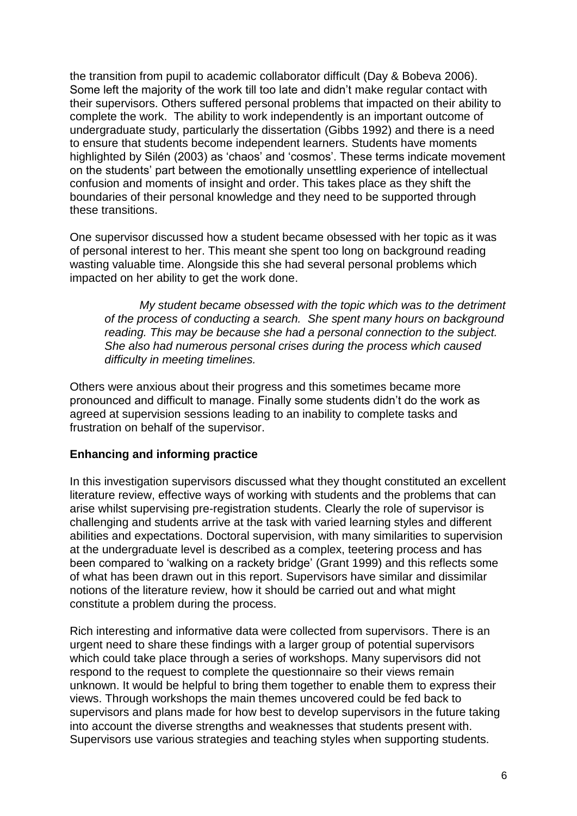the transition from pupil to academic collaborator difficult (Day & Bobeva 2006). Some left the majority of the work till too late and didn't make regular contact with their supervisors. Others suffered personal problems that impacted on their ability to complete the work. The ability to work independently is an important outcome of undergraduate study, particularly the dissertation (Gibbs 1992) and there is a need to ensure that students become independent learners. Students have moments highlighted by Silén (2003) as 'chaos' and 'cosmos'. These terms indicate movement on the students' part between the emotionally unsettling experience of intellectual confusion and moments of insight and order. This takes place as they shift the boundaries of their personal knowledge and they need to be supported through these transitions.

One supervisor discussed how a student became obsessed with her topic as it was of personal interest to her. This meant she spent too long on background reading wasting valuable time. Alongside this she had several personal problems which impacted on her ability to get the work done.

*My student became obsessed with the topic which was to the detriment of the process of conducting a search. She spent many hours on background reading. This may be because she had a personal connection to the subject. She also had numerous personal crises during the process which caused difficulty in meeting timelines.*

Others were anxious about their progress and this sometimes became more pronounced and difficult to manage. Finally some students didn't do the work as agreed at supervision sessions leading to an inability to complete tasks and frustration on behalf of the supervisor.

#### **Enhancing and informing practice**

In this investigation supervisors discussed what they thought constituted an excellent literature review, effective ways of working with students and the problems that can arise whilst supervising pre-registration students. Clearly the role of supervisor is challenging and students arrive at the task with varied learning styles and different abilities and expectations. Doctoral supervision, with many similarities to supervision at the undergraduate level is described as a complex, teetering process and has been compared to 'walking on a rackety bridge' (Grant 1999) and this reflects some of what has been drawn out in this report. Supervisors have similar and dissimilar notions of the literature review, how it should be carried out and what might constitute a problem during the process.

Rich interesting and informative data were collected from supervisors. There is an urgent need to share these findings with a larger group of potential supervisors which could take place through a series of workshops. Many supervisors did not respond to the request to complete the questionnaire so their views remain unknown. It would be helpful to bring them together to enable them to express their views. Through workshops the main themes uncovered could be fed back to supervisors and plans made for how best to develop supervisors in the future taking into account the diverse strengths and weaknesses that students present with. Supervisors use various strategies and teaching styles when supporting students.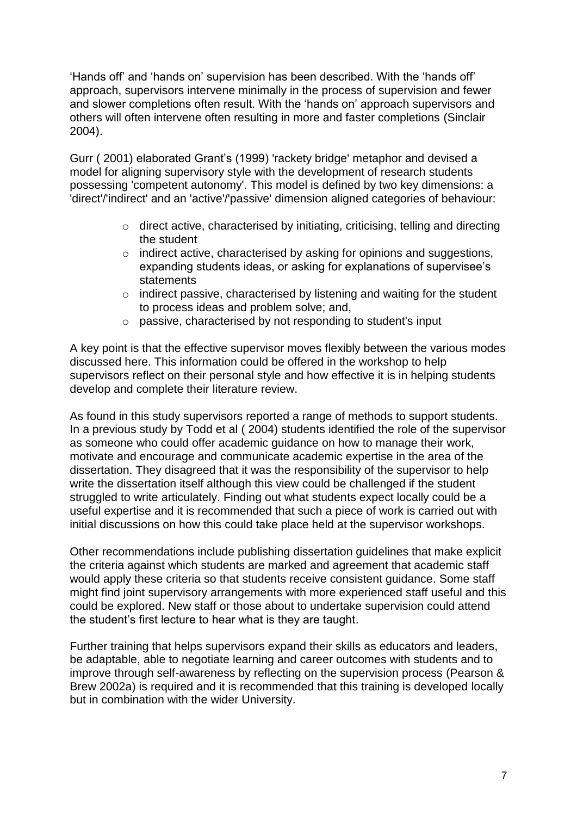'Hands off' and 'hands on' supervision has been described. With the 'hands off' approach, supervisors intervene minimally in the process of supervision and fewer and slower completions often result. With the 'hands on' approach supervisors and others will often intervene often resulting in more and faster completions (Sinclair 2004).

Gurr ( 2001) elaborated Grant's (1999) 'rackety bridge' metaphor and devised a model for aligning supervisory style with the development of research students possessing 'competent autonomy'. This model is defined by two key dimensions: a 'direct'/'indirect' and an 'active'/'passive' dimension aligned categories of behaviour:

- o direct active, characterised by initiating, criticising, telling and directing the student
- o indirect active, characterised by asking for opinions and suggestions, expanding students ideas, or asking for explanations of supervisee's statements
- o indirect passive, characterised by listening and waiting for the student to process ideas and problem solve; and,
- o passive, characterised by not responding to student's input

A key point is that the effective supervisor moves flexibly between the various modes discussed here. This information could be offered in the workshop to help supervisors reflect on their personal style and how effective it is in helping students develop and complete their literature review.

As found in this study supervisors reported a range of methods to support students. In a previous study by Todd et al ( 2004) students identified the role of the supervisor as someone who could offer academic guidance on how to manage their work, motivate and encourage and communicate academic expertise in the area of the dissertation. They disagreed that it was the responsibility of the supervisor to help write the dissertation itself although this view could be challenged if the student struggled to write articulately. Finding out what students expect locally could be a useful expertise and it is recommended that such a piece of work is carried out with initial discussions on how this could take place held at the supervisor workshops.

Other recommendations include publishing dissertation guidelines that make explicit the criteria against which students are marked and agreement that academic staff would apply these criteria so that students receive consistent guidance. Some staff might find joint supervisory arrangements with more experienced staff useful and this could be explored. New staff or those about to undertake supervision could attend the student's first lecture to hear what is they are taught.

Further training that helps supervisors expand their skills as educators and leaders, be adaptable, able to negotiate learning and career outcomes with students and to improve through self-awareness by reflecting on the supervision process (Pearson & Brew 2002a) is required and it is recommended that this training is developed locally but in combination with the wider University.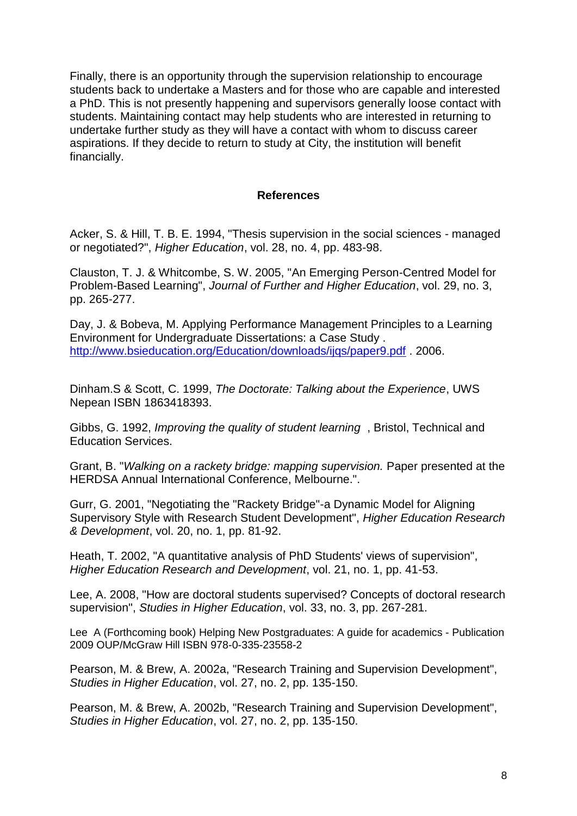Finally, there is an opportunity through the supervision relationship to encourage students back to undertake a Masters and for those who are capable and interested a PhD. This is not presently happening and supervisors generally loose contact with students. Maintaining contact may help students who are interested in returning to undertake further study as they will have a contact with whom to discuss career aspirations. If they decide to return to study at City, the institution will benefit financially.

#### **References**

Acker, S. & Hill, T. B. E. 1994, "Thesis supervision in the social sciences - managed or negotiated?", *Higher Education*, vol. 28, no. 4, pp. 483-98.

Clauston, T. J. & Whitcombe, S. W. 2005, "An Emerging Person-Centred Model for Problem-Based Learning", *Journal of Further and Higher Education*, vol. 29, no. 3, pp. 265-277.

Day, J. & Bobeva, M. Applying Performance Management Principles to a Learning Environment for Undergraduate Dissertations: a Case Study . <http://www.bsieducation.org/Education/downloads/ijqs/paper9.pdf> . 2006.

Dinham.S & Scott, C. 1999, *The Doctorate: Talking about the Experience*, UWS Nepean ISBN 1863418393.

Gibbs, G. 1992, *Improving the quality of student learning* , Bristol, Technical and Education Services.

Grant, B. "*Walking on a rackety bridge: mapping supervision.* Paper presented at the HERDSA Annual International Conference, Melbourne.".

Gurr, G. 2001, "Negotiating the "Rackety Bridge"-a Dynamic Model for Aligning Supervisory Style with Research Student Development", *Higher Education Research & Development*, vol. 20, no. 1, pp. 81-92.

Heath, T. 2002, "A quantitative analysis of PhD Students' views of supervision", *Higher Education Research and Development*, vol. 21, no. 1, pp. 41-53.

Lee, A. 2008, "How are doctoral students supervised? Concepts of doctoral research supervision", *Studies in Higher Education*, vol. 33, no. 3, pp. 267-281.

Lee A (Forthcoming book) Helping New Postgraduates: A guide for academics - Publication 2009 OUP/McGraw Hill ISBN 978-0-335-23558-2

Pearson, M. & Brew, A. 2002a, "Research Training and Supervision Development", *Studies in Higher Education*, vol. 27, no. 2, pp. 135-150.

Pearson, M. & Brew, A. 2002b, "Research Training and Supervision Development", *Studies in Higher Education*, vol. 27, no. 2, pp. 135-150.